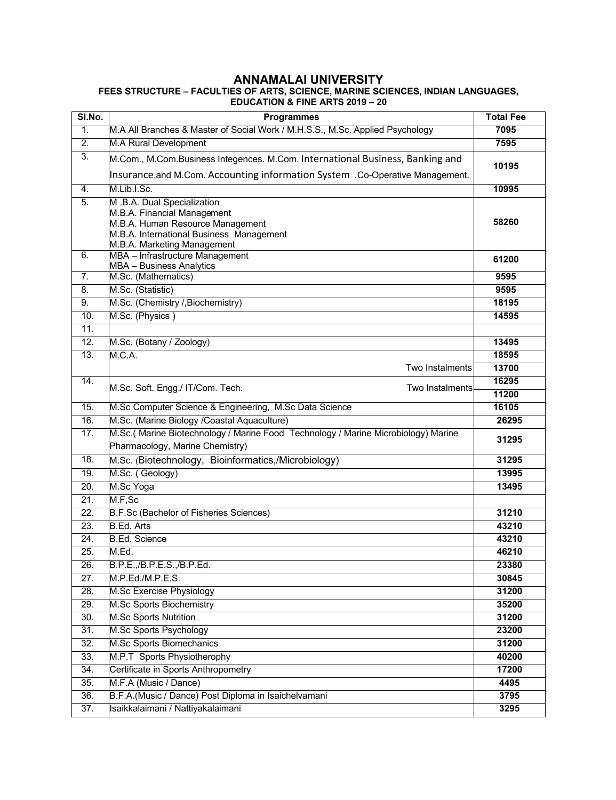## **ANNAMALAI UNIVERSITY FEES STRUCTURE – FACULTIES OF ARTS, SCIENCE, MARINE SCIENCES, INDIAN LANGUAGES, EDUCATION & FINE ARTS 2019 – 20**

| SI.No.            | <b>Programmes</b>                                                                 | <b>Total Fee</b> |  |  |
|-------------------|-----------------------------------------------------------------------------------|------------------|--|--|
| 1.                | M.A All Branches & Master of Social Work / M.H.S.S., M.Sc. Applied Psychology     | 7095             |  |  |
| $\overline{2}$ .  | M.A Rural Development                                                             | 7595             |  |  |
| 3.                | M.Com., M.Com.Business Integences. M.Com. International Business, Banking and     |                  |  |  |
|                   | Insurance, and M.Com. Accounting information System, Co-Operative Management.     | 10195            |  |  |
| 4.                | M.Lib.I.Sc.                                                                       | 10995            |  |  |
| 5.                | M .B.A. Dual Specialization                                                       |                  |  |  |
|                   | M.B.A. Financial Management<br>M.B.A. Human Resource Management                   | 58260            |  |  |
|                   | M.B.A. International Business Management                                          |                  |  |  |
|                   | M.B.A. Marketing Management                                                       |                  |  |  |
| 6.                | MBA - Infrastructure Management                                                   | 61200            |  |  |
| 7.                | MBA - Business Analytics<br>M.Sc. (Mathematics)                                   | 9595             |  |  |
|                   |                                                                                   |                  |  |  |
| 8.                | M.Sc. (Statistic)                                                                 | 9595<br>18195    |  |  |
| 9.                | M.Sc. (Chemistry /, Biochemistry)<br>M.Sc. (Physics)                              |                  |  |  |
| 10.<br>11.        |                                                                                   | 14595            |  |  |
| 12.               | M.Sc. (Botany / Zoology)                                                          | 13495            |  |  |
| 13.               | M.C.A.                                                                            | 18595            |  |  |
|                   | Two Instalments                                                                   | 13700            |  |  |
| $\overline{14}$ . |                                                                                   | 16295            |  |  |
|                   | M.Sc. Soft. Engg./ IT/Com. Tech.<br>Two Instalments                               | 11200            |  |  |
| 15.               | M.Sc Computer Science & Engineering, M.Sc Data Science                            | 16105            |  |  |
| 16.               | M.Sc. (Marine Biology /Coastal Aquaculture)                                       | 26295            |  |  |
| 17.               | M.Sc.(Marine Biotechnology / Marine Food Technology / Marine Microbiology) Marine |                  |  |  |
|                   | Pharmacology, Marine Chemistry)                                                   | 31295            |  |  |
| 18.               | M.Sc. (Biotechnology, Bioinformatics,/Microbiology)                               | 31295            |  |  |
| 19.               | M.Sc. (Geology)                                                                   | 13995            |  |  |
| 20.               | M.Sc Yoga                                                                         | 13495            |  |  |
| 21.               | M.F,Sc                                                                            |                  |  |  |
| 22.               | B.F.Sc (Bachelor of Fisheries Sciences)                                           | 31210            |  |  |
| 23.               | <b>B.Ed. Arts</b>                                                                 | 43210            |  |  |
| 24.               | <b>B.Ed. Science</b>                                                              | 43210            |  |  |
| 25.               | M.Ed.                                                                             | 46210            |  |  |
| 26.               | B.P.E.,/B.P.E.S.,/B.P.Ed.                                                         | 23380            |  |  |
| 27.               | M.P.Ed./M.P.E.S.                                                                  | 30845            |  |  |
| 28.               | M.Sc Exercise Physiology                                                          | 31200            |  |  |
| 29.               | M.Sc Sports Biochemistry                                                          | 35200            |  |  |
| 30.               | <b>M.Sc Sports Nutrition</b>                                                      | 31200            |  |  |
| 31.               | M.Sc Sports Psychology                                                            | 23200            |  |  |
| 32.               | <b>M.Sc Sports Biomechanics</b>                                                   | 31200            |  |  |
| 33.               | M.P.T Sports Physiotherophy                                                       | 40200            |  |  |
| 34.               | Certificate in Sports Anthropometry                                               | 17200            |  |  |
| 35.               | M.F.A (Music / Dance)                                                             | 4495             |  |  |
| 36.               | B.F.A.(Music / Dance) Post Diploma in Isaichelvamani                              | 3795             |  |  |
| $\overline{37}$ . | Isaikkalaimani / Nattiyakalaimani                                                 | 3295             |  |  |